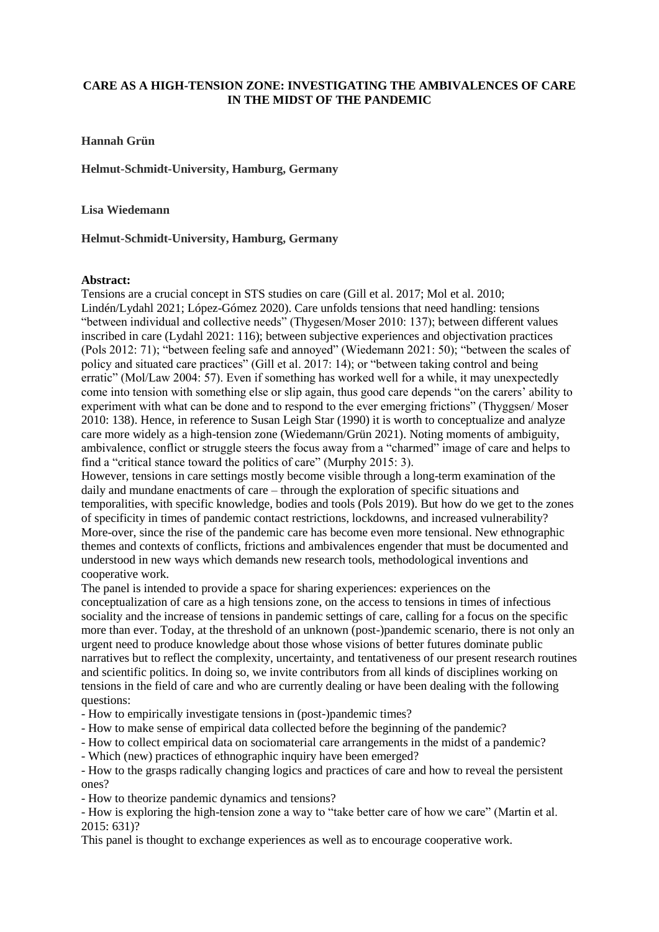## **CARE AS A HIGH-TENSION ZONE: INVESTIGATING THE AMBIVALENCES OF CARE IN THE MIDST OF THE PANDEMIC**

## **Hannah Grün**

**Helmut-Schmidt-University, Hamburg, Germany**

**Lisa Wiedemann**

## **Helmut-Schmidt-University, Hamburg, Germany**

## **Abstract:**

Tensions are a crucial concept in STS studies on care (Gill et al. 2017; Mol et al. 2010; Lindén/Lydahl 2021; López-Gómez 2020). Care unfolds tensions that need handling: tensions "between individual and collective needs" (Thygesen/Moser 2010: 137); between different values inscribed in care (Lydahl 2021: 116); between subjective experiences and objectivation practices (Pols 2012: 71); "between feeling safe and annoyed" (Wiedemann 2021: 50); "between the scales of policy and situated care practices" (Gill et al. 2017: 14); or "between taking control and being erratic" (Mol/Law 2004: 57). Even if something has worked well for a while, it may unexpectedly come into tension with something else or slip again, thus good care depends "on the carers' ability to experiment with what can be done and to respond to the ever emerging frictions" (Thyggsen/ Moser 2010: 138). Hence, in reference to Susan Leigh Star (1990) it is worth to conceptualize and analyze care more widely as a high-tension zone (Wiedemann/Grün 2021). Noting moments of ambiguity, ambivalence, conflict or struggle steers the focus away from a "charmed" image of care and helps to find a "critical stance toward the politics of care" (Murphy 2015: 3).

However, tensions in care settings mostly become visible through a long-term examination of the daily and mundane enactments of care – through the exploration of specific situations and temporalities, with specific knowledge, bodies and tools (Pols 2019). But how do we get to the zones of specificity in times of pandemic contact restrictions, lockdowns, and increased vulnerability? More-over, since the rise of the pandemic care has become even more tensional. New ethnographic themes and contexts of conflicts, frictions and ambivalences engender that must be documented and understood in new ways which demands new research tools, methodological inventions and cooperative work.

The panel is intended to provide a space for sharing experiences: experiences on the conceptualization of care as a high tensions zone, on the access to tensions in times of infectious sociality and the increase of tensions in pandemic settings of care, calling for a focus on the specific more than ever. Today, at the threshold of an unknown (post-)pandemic scenario, there is not only an urgent need to produce knowledge about those whose visions of better futures dominate public narratives but to reflect the complexity, uncertainty, and tentativeness of our present research routines and scientific politics. In doing so, we invite contributors from all kinds of disciplines working on tensions in the field of care and who are currently dealing or have been dealing with the following questions:

- How to empirically investigate tensions in (post-)pandemic times?

- How to make sense of empirical data collected before the beginning of the pandemic?

- How to collect empirical data on sociomaterial care arrangements in the midst of a pandemic?

- Which (new) practices of ethnographic inquiry have been emerged?

- How to the grasps radically changing logics and practices of care and how to reveal the persistent ones?

- How to theorize pandemic dynamics and tensions?

- How is exploring the high-tension zone a way to "take better care of how we care" (Martin et al. 2015: 631)?

This panel is thought to exchange experiences as well as to encourage cooperative work.